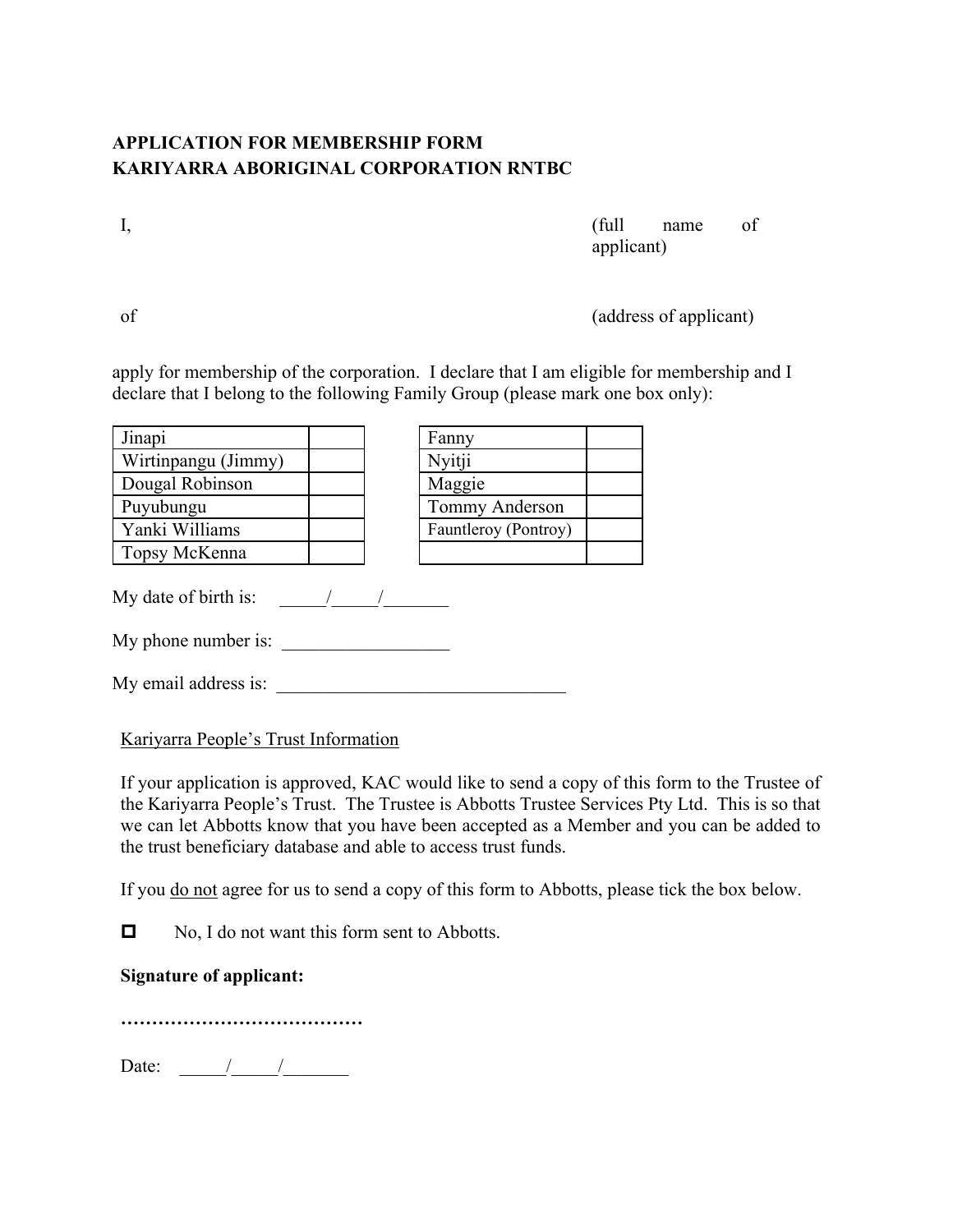## **APPLICATION FOR MEMBERSHIP FORM KARIYARRA ABORIGINAL CORPORATION RNTBC**

I, the contract of the contract of the contract of the contract of the contract of the contract of the contract of the contract of the contract of the contract of the contract of the contract of the contract of the contrac applicant)

of (address of applicant)

apply for membership of the corporation. I declare that I am eligible for membership and I declare that I belong to the following Family Group (please mark one box only):

| Jinapi               |  | Fanny                |  |
|----------------------|--|----------------------|--|
| Wirtinpangu (Jimmy)  |  | Nyitji               |  |
| Dougal Robinson      |  | Maggie               |  |
| Puyubungu            |  | Tommy Anderson       |  |
| Yanki Williams       |  | Fauntleroy (Pontroy) |  |
| Topsy McKenna        |  |                      |  |
| My date of birth is: |  |                      |  |
| My phone number is:  |  |                      |  |

My email address is:

Kariyarra People's Trust Information

If your application is approved, KAC would like to send a copy of this form to the Trustee of the Kariyarra People's Trust. The Trustee is Abbotts Trustee Services Pty Ltd. This is so that we can let Abbotts know that you have been accepted as a Member and you can be added to the trust beneficiary database and able to access trust funds.

If you <u>do not</u> agree for us to send a copy of this form to Abbotts, please tick the box below.

 $\Box$  No, I do not want this form sent to Abbotts.

## **Signature of applicant:**

**…………………………………**

Date:  $\frac{\frac{1}{2} \cdot \frac{1}{2} \cdot \frac{1}{2} \cdot \frac{1}{2} \cdot \frac{1}{2} \cdot \frac{1}{2} \cdot \frac{1}{2} \cdot \frac{1}{2} \cdot \frac{1}{2} \cdot \frac{1}{2} \cdot \frac{1}{2} \cdot \frac{1}{2} \cdot \frac{1}{2} \cdot \frac{1}{2} \cdot \frac{1}{2} \cdot \frac{1}{2} \cdot \frac{1}{2} \cdot \frac{1}{2} \cdot \frac{1}{2} \cdot \frac{1}{2} \cdot \frac{1}{2} \cdot \frac{1}{2} \cdot \frac{1}{2} \cdot \frac{1}{$